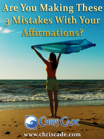# **Are You Making These** 3 Mistakes With Your Affirmations?

# C GHRUS CADE [www.chriscade.com](http://www.chriscade.com/)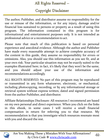# All Rights Reserved -

Copyright Disclaimer

The author, Publisher, and distributor assume no responsibility for the use or misuse of the information, or for any injury, damage and/or financial loss sustained to persons or property as a result of using this program. The information contained in this program is for informational and entertainment purposes only. It is not intended as professional advice or a recommendation to act.

Please note that much of this publication is based on personal experience and anecdotal evidence. Although the author and Publisher have made every reasonable attempt to achieve complete accuracy of the content in this guide, they assume no responsibility for errors or omissions. Also, you should use this information as you see fit, and at your own risk. Your particular situation may not be exactly suited to the examples illustrated here; in fact, it's likely that they won't be the same, and you should adjust your use of the information and recommendations accordingly.

ALL RIGHTS RESERVED. No part of this program may be reproduced or transmitted in any form whatsoever, electronic, or mechanical, including photocopying, recording, or by any informational storage or retrieval system without express written, dated and signed permission from the author Publisher, and distributor.

Affiliate Relationships Disclosure: All resources I recommend are based on my own personal and direct experience. When you click on the links in this ebook, in some cases I will receive a small financial compensation in return for referring you to that resource. My recommendation is that you investigate which resources resonate most with you and discard the rest.

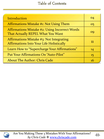## Table of Contents

| Introduction                                                                                | 04 |
|---------------------------------------------------------------------------------------------|----|
| Affirmations Mistake #1: Not Using Them                                                     | 05 |
| <b>Affirmations Mistake #2: Using Incorrect Words</b><br>That Actually REPEL What You Want  | OQ |
| Affirmations Mistake #3: Not Integrating<br><b>Affirmations Into Your Life Holistically</b> | 11 |
| Learn How to "Supercharge Your Affirmations"                                                | 14 |
| Put Your Affirmations On "Auto-Pilot"                                                       | 15 |
| <b>About The Author: Chris Cade</b>                                                         | 16 |

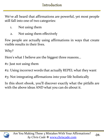# Introduction

We've all heard that affirmations are powerful, yet most people still fall into one of two categories:

- 1. Not using them
- 2. Not using them effectively

Few people are actually using affirmations in ways that create visible results in their lives.

Why?

Here's what I believe are the biggest three reasons...

#1: Just not using them

- #2: Using incorrect words that actually REPEL what they want
- #3: Not integrating affirmations into your life holistically

In this short ebook, you'll discover exactly what the pitfalls are with the above ideas AND what you can do about it.

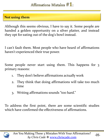Although this seems obvious, I have to say it. Some people are handed a golden opportunity on a silver platter, and instead they opt for eating out of the dog's bowl instead.

I can't fault them. Most people who have heard of affirmations haven't experienced their true power.

Some people never start using them. This happens for 3 primary reasons:

- 1. They don't believe affirmations actually work
- 2. They think that doing affirmations will take too much time
- 3. Writing affirmations sounds "too hard."

To address the first point, there are some scientific studies which have confirmed the effectiveness of affirmations.

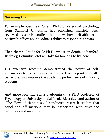For example, Geoffrey Cohen, Ph.D. professor of psychology from Stanford University, has published multiple peerreviewed research studies that show how self-affirmation positively affects an individual's ability to respond to threats.

Then there's Claude Steele Ph.D., whose credentials (Stanford, Berkeley, Columbia, etc) will take far too long to list here…

His extensive research demonstrated the power of selfaffirmation to reduce biased attitudes, lead to positive health behaviors, and improve the academic performance of minority students.

And more recently, Sonja Lyubomirsky, a PHD professor of Psychology at University of California Riverside, and author of "The How of Happiness, " conducted research studies that concluded affirmations may be associated with sustained happiness and meaning.

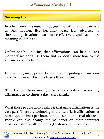In other words, the research suggests that affirmations can help us feel happier, live healthier, react less adversely to threatening situations, learn more effectively, and have more meaning in our lives.

Unfortunately, knowing that affirmations can help doesn't matter if we don't use them and we don't know how to use affirmations effectively.

For example, many people believe that integrating affirmations into their lives will be more hassle than it's worth.

### "**But I don't have enough time to speak or write my affirmations 50 times a day," they think.**

What those people don't realize is that using affirmations is the easy part. There are technologies that can flash affirmations at nearly 4,000 times per hour, so time is not an actual obstacle. People can also change the wallpaper on their computer desktop to display affirmations (I'll show you mine later).



-07-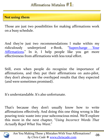Those are just two possibilities for making affirmations work on a busy schedule.

And they're just two recommendations I make within my ridiculously underpriced e-Book, "[Supercharge](http://www.chriscade.com/liberate-your-life/outline/supercharge-your-affirmations) [Your](http://www.chriscade.com/liberate-your-life/outline/supercharge-your-affirmations) [Affirmations.](http://www.chriscade.com/liberate-your-life/outline/supercharge-your-affirmations)" In it, I help people like you get more effectiveness from affirmations with less total effort.

Still, even when people do recognize the importance of affirmations, and they put their affirmations on auto-pilot, they don't always see the overhyped results that they expected (and were sometimes promised).

It's understandable. It's also unfortunate.

That's because they don't usually know how to write affirmations effectively. And doing this one thing wrong is like pouring toxic waste into your subconscious mind. We'll explore this more in the next chapter, "*Using Incorrect Words That Actually Repel What You Want*."

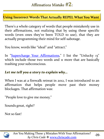#### **Using Incorrect Words That Actually REPEL What You Want**

There's a whole category of words that people mistakenly use in their affirmations, not realizing that by using these specific words (even ones they've been TOLD to use), that they are actually programming their mind for self-sabotage.

You know, words like "ideal" and "attract."

In "[Supercharge](http://www.chriscade.com/liberate-your-life/outline/supercharge-your-affirmations) [Your](http://www.chriscade.com/liberate-your-life/outline/supercharge-your-affirmations) [Affirmations,](http://www.chriscade.com/liberate-your-life/outline/supercharge-your-affirmations)" I list the "Unlucky 13" which include those two words and 11 more that are basically trashing your subconscious.

#### *Let me tell you a story to explain why...*

When I was at a firewalk retreat in 2012, I was introduced to an affirmation that helps people move past their money blockages. That affirmation was:

"People love to give me money."

Sounds great, right?

Not so fast!

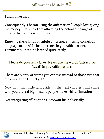# Affirmations Mistake  $#2$ :

I didn't like that.

Consequently, I began using the affirmation "People love giving me money." This way I am affirming the actual exchange of energy that occurs with money.

Knowing these kinds of subtle differences in using conscious language make ALL the difference in your affirmations. Fortunately, it can be learned quite easily.

#### Please do yourself a favor: Never use the words "attract" or "ideal" in your affirmations.

There are plenty of words you can use instead of those two that are among the Unlucky 13.

Now with that little rant aside, in the next chapter I will share with you the 3rd big mistake people make with affirmations:

Not integrating affirmations into your life holistically.

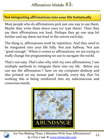#### **Not integrating affirmations into your life holistically**

Most people who do affirmations pick just one way to use them. Maybe they write them down once (or type them). Then they say their affirmations out loud. Perhaps they go one step bit further and say them out loud in the mirror each day.

The thing is, affirmations work by repetition. And they need to be integrated into your life fully. Not just halfway. Not just "good enough." When it comes to affirmations, we are trying to really change the programming we use to navigate the world.

That's not easy. That's also why with my own affirmations, I use multiple methods to integrate them into my life. Below you can see the affirmation I have on my computer desktop and also printed on my mouse pad. Literally, every day that I'm working this is being reinforced into my subconscious and conscious minds.





Are You Making These 3 Mistakes With Your Affirmations? aking These 3 Mistakes With Tour Annimations:<br>by Chris Cade **\*** [www.chriscade.com](http://www.chriscade.com/)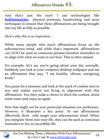# Affirmations Mistake #3:

And that's just the start! I use technologies like **Subliminal<sub>360</sub>**, physical printouts, handwriting, and more techniques to ensure that these affirmations are being brought into my life as fully as possible.

*Here's why this is so important...*

While many people who teach affirmations focus on the subconscious mind, and while that's important, affirmations can ALSO be used as conscious present-moment reminders to re-align with what we want in our lives. This is often missed.

For example, let's say you're going about your day normally. Suddenly you look at your computer desktop wallpaper and see an affirmation that says, "I eat healthy, vibrant, energizing foods."

You pause for a moment and look at the stack of cookies next to you and realize you're not living in alignment with this affirmation. You then make a choice to ditch the cookies, drink some water and enjoy an apple.

Now that might not be your particular situation nor preference. However, it illustrates a key point: To use affirmations effectively, don't only target your subconscious mind. When you integrate them into your life, they can be used as conscious reminders to live an incredible life.

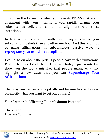Of course the kicker is - when you take ACTIONS that are in alignment with your intentions, you rapidly change your subconscious beliefs to come into alignment with those intentions.

In fact, action is a significantly faster way to change your subconscious beliefs than any other method. And this is on top of using affirmations in subconscious passive ways to **[reprogram](http://www.subliminal360.com/homepage/a/sharethis) [your](http://www.subliminal360.com/homepage/a/sharethis) [mind](http://www.subliminal360.com/homepage/a/sharethis) [on](http://www.subliminal360.com/homepage/a/sharethis) [autopilot](http://www.subliminal360.com/homepage/a/sharethis)**.

I could go on about the pitfalls people have with affirmations. Really, there's a lot of them. However, today I just wanted to show you the top 3 mistakes that people make, why, and highlight a few ways that you can **[Supercharge](http://www.chriscade.com/liberate-your-life/outline/supercharge-your-affirmations) [Your](http://www.chriscade.com/liberate-your-life/outline/supercharge-your-affirmations) [Affirmations](http://www.chriscade.com/liberate-your-life/outline/supercharge-your-affirmations)**

That way you can avoid the pitfalls and be sure to stay focused on exactly what you want to get out of life. :)

Your Partner In Affirming Your Maximum Potential,

Chris Cade Liberate Your Life



.

Are You Making These 3 Mistakes With Your Affirmations? *by Chris Cade*  $\frac{40}{3}$  *[www.chriscade.com](http://www.chriscade.com/)*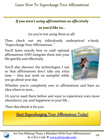*If you aren't using affirmations as effectively* 

### *as you'd like to...*

(or you're not using them at all)

Then check out my ridiculously underpriced e-book, "Supercharge Your Affirmations. "

You'll learn exactly how to craft optimal affirmations AND integrate them into your life quickly and effectively.

You'll also discover the technologies I use so that affirmations don't take any extra time -- they just work on autopilot while you go about your day.



Whether you're completely new to affirmations and have no idea where to start…

Or you've used them before and want to experience even more abundance, joy, and happiness in your life…

Then this ebook is for you.

**Start Supercharging Your Affirmations Today!** 



Are You Making These 3 Mistakes With Your Affirmations? *by Chris Cade*  $\frac{3}{2}$  *[www.chriscade.com](http://www.chriscade.com/)*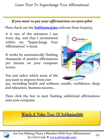#### *If you want to put your affirmations on auto-pilot*

Then check out the **[Subliminal360](http://www.subliminal360.com/homepage/a/sharethis)** software from Inspire3.

It is one of the resources I use every day, and that I recommend within my "Supercharge Your Affirmations" e-book.

It works by automatically flashing thousands of positive affirmations per minute on your computer screen.

You just select which areas of life you want to improve from over

350, including health and wellness, wealth, confidence, sleep and relaxation, business success…

Then click the box to start flashing subliminal affirmations onto your computer.

## Watch A Video Tour Of Subliminal360

Are You Making These 3 Mistakes With Your Affirmations? aking these 3 mistakes with four Annimations:<br>by Chris Cade \* <u>[www.chriscade.com](http://www.chriscade.com/)</u>